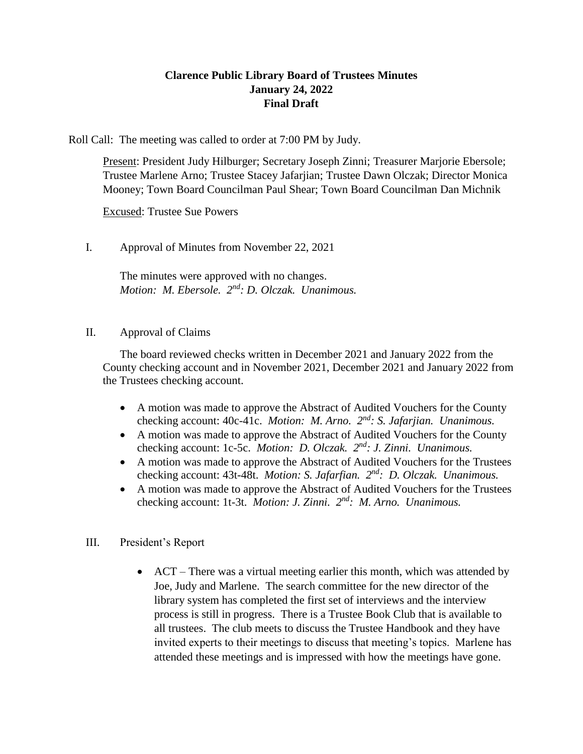## **Clarence Public Library Board of Trustees Minutes January 24, 2022 Final Draft**

Roll Call: The meeting was called to order at 7:00 PM by Judy.

Present: President Judy Hilburger; Secretary Joseph Zinni; Treasurer Marjorie Ebersole; Trustee Marlene Arno; Trustee Stacey Jafarjian; Trustee Dawn Olczak; Director Monica Mooney; Town Board Councilman Paul Shear; Town Board Councilman Dan Michnik

Excused: Trustee Sue Powers

I. Approval of Minutes from November 22, 2021

The minutes were approved with no changes. *Motion: M. Ebersole. 2 nd: D. Olczak. Unanimous.*

#### II. Approval of Claims

The board reviewed checks written in December 2021 and January 2022 from the County checking account and in November 2021, December 2021 and January 2022 from the Trustees checking account.

- A motion was made to approve the Abstract of Audited Vouchers for the County checking account: 40c-41c. *Motion: M. Arno. 2<sup>nd</sup>: S. Jafarjian. Unanimous.*
- A motion was made to approve the Abstract of Audited Vouchers for the County checking account: 1c-5c. *Motion: D. Olczak. 2nd: J. Zinni. Unanimous.*
- A motion was made to approve the Abstract of Audited Vouchers for the Trustees checking account: 43t-48t. *Motion: S. Jafarfian.* 2<sup>nd</sup>: D. Olczak. Unanimous.
- A motion was made to approve the Abstract of Audited Vouchers for the Trustees checking account: 1t-3t. *Motion: J. Zinni. 2nd: M. Arno. Unanimous.*

#### III. President's Report

 ACT – There was a virtual meeting earlier this month, which was attended by Joe, Judy and Marlene. The search committee for the new director of the library system has completed the first set of interviews and the interview process is still in progress. There is a Trustee Book Club that is available to all trustees. The club meets to discuss the Trustee Handbook and they have invited experts to their meetings to discuss that meeting's topics. Marlene has attended these meetings and is impressed with how the meetings have gone.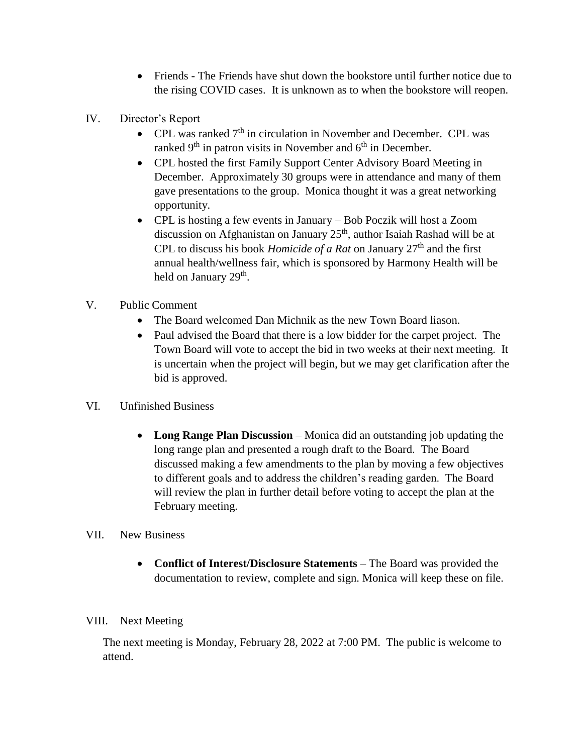- Friends The Friends have shut down the bookstore until further notice due to the rising COVID cases. It is unknown as to when the bookstore will reopen.
- IV. Director's Report
	- CPL was ranked  $7<sup>th</sup>$  in circulation in November and December. CPL was ranked  $9<sup>th</sup>$  in patron visits in November and  $6<sup>th</sup>$  in December.
	- CPL hosted the first Family Support Center Advisory Board Meeting in December. Approximately 30 groups were in attendance and many of them gave presentations to the group. Monica thought it was a great networking opportunity.
	- CPL is hosting a few events in January Bob Poczik will host a Zoom discussion on Afghanistan on January 25<sup>th</sup>, author Isaiah Rashad will be at CPL to discuss his book *Homicide of a Rat* on January 27<sup>th</sup> and the first annual health/wellness fair, which is sponsored by Harmony Health will be held on January 29<sup>th</sup>.
- V. Public Comment
	- The Board welcomed Dan Michnik as the new Town Board liason.
	- Paul advised the Board that there is a low bidder for the carpet project. The Town Board will vote to accept the bid in two weeks at their next meeting. It is uncertain when the project will begin, but we may get clarification after the bid is approved.
- VI. Unfinished Business
	- **Long Range Plan Discussion** Monica did an outstanding job updating the long range plan and presented a rough draft to the Board. The Board discussed making a few amendments to the plan by moving a few objectives to different goals and to address the children's reading garden. The Board will review the plan in further detail before voting to accept the plan at the February meeting.
- VII. New Business
	- **Conflict of Interest/Disclosure Statements** The Board was provided the documentation to review, complete and sign. Monica will keep these on file.

### VIII. Next Meeting

The next meeting is Monday, February 28, 2022 at 7:00 PM. The public is welcome to attend.